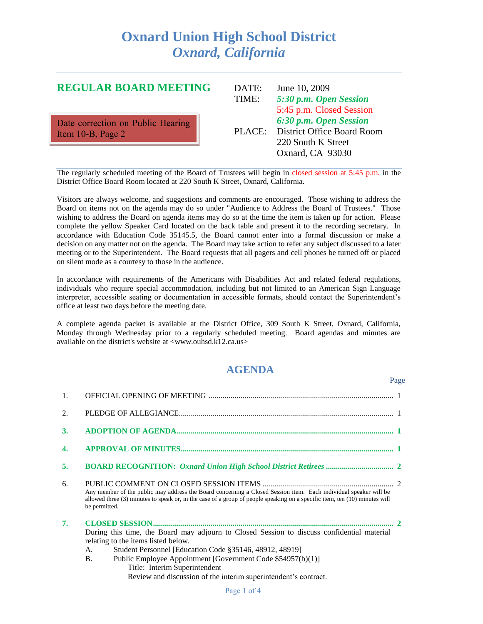# **Oxnard Union High School District** *Oxnard, California*

## **REGULAR BOARD MEETING**

Date correction on Public Hearing Item 10-B, Page 2

| June 10, 2009                     |
|-----------------------------------|
| 5:30 p.m. Open Session            |
| 5:45 p.m. Closed Session          |
| 6:30 p.m. Open Session            |
| <b>District Office Board Room</b> |
| 220 South K Street                |
| Oxnard, CA 93030                  |
|                                   |

Page

The regularly scheduled meeting of the Board of Trustees will begin in closed session at 5:45 p.m. in the District Office Board Room located at 220 South K Street, Oxnard, California.

Visitors are always welcome, and suggestions and comments are encouraged. Those wishing to address the Board on items not on the agenda may do so under "Audience to Address the Board of Trustees." Those wishing to address the Board on agenda items may do so at the time the item is taken up for action. Please complete the yellow Speaker Card located on the back table and present it to the recording secretary. In accordance with Education Code 35145.5, the Board cannot enter into a formal discussion or make a decision on any matter not on the agenda. The Board may take action to refer any subject discussed to a later meeting or to the Superintendent. The Board requests that all pagers and cell phones be turned off or placed on silent mode as a courtesy to those in the audience.

In accordance with requirements of the Americans with Disabilities Act and related federal regulations, individuals who require special accommodation, including but not limited to an American Sign Language interpreter, accessible seating or documentation in accessible formats, should contact the Superintendent's office at least two days before the meeting date.

A complete agenda packet is available at the District Office, 309 South K Street, Oxnard, California, Monday through Wednesday prior to a regularly scheduled meeting. Board agendas and minutes are available on the district's website at <www.ouhsd.k12.ca.us>

# **AGENDA**

| Any member of the public may address the Board concerning a Closed Session item. Each individual speaker will be<br>allowed three (3) minutes to speak or, in the case of a group of people speaking on a specific item, ten (10) minutes will<br>be permitted.                                                                                                                    |  |
|------------------------------------------------------------------------------------------------------------------------------------------------------------------------------------------------------------------------------------------------------------------------------------------------------------------------------------------------------------------------------------|--|
| During this time, the Board may adjourn to Closed Session to discuss confidential material<br>relating to the items listed below.<br>Student Personnel [Education Code §35146, 48912, 48919]<br>A.<br>Public Employee Appointment [Government Code \$54957(b)(1)]<br><b>B.</b><br>Title: Interim Superintendent<br>Review and discussion of the interim superintendent's contract. |  |
|                                                                                                                                                                                                                                                                                                                                                                                    |  |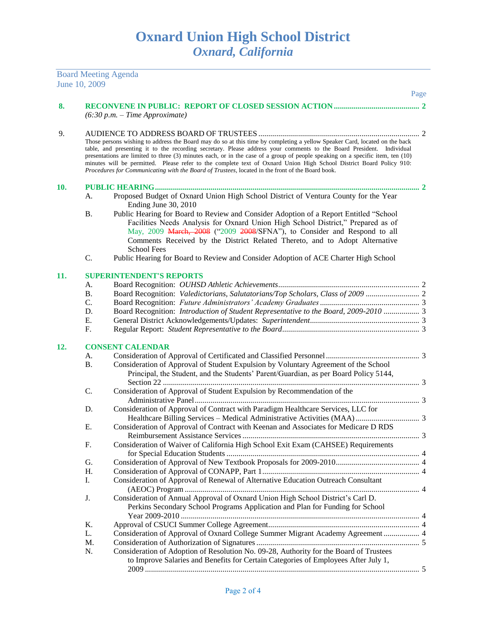Board Meeting Agenda

|     | June 10, 2009 |                                                                                                                                                                                                                                                                                                                                                                                                                                                                                                                                                                                                                 | Page |
|-----|---------------|-----------------------------------------------------------------------------------------------------------------------------------------------------------------------------------------------------------------------------------------------------------------------------------------------------------------------------------------------------------------------------------------------------------------------------------------------------------------------------------------------------------------------------------------------------------------------------------------------------------------|------|
|     |               |                                                                                                                                                                                                                                                                                                                                                                                                                                                                                                                                                                                                                 |      |
| 8.  |               | $(6:30 p.m. - Time Approximate)$                                                                                                                                                                                                                                                                                                                                                                                                                                                                                                                                                                                |      |
| 9.  |               |                                                                                                                                                                                                                                                                                                                                                                                                                                                                                                                                                                                                                 |      |
|     |               | Those persons wishing to address the Board may do so at this time by completing a yellow Speaker Card, located on the back<br>table, and presenting it to the recording secretary. Please address your comments to the Board President. Individual<br>presentations are limited to three (3) minutes each, or in the case of a group of people speaking on a specific item, ten (10)<br>minutes will be permitted. Please refer to the complete text of Oxnard Union High School District Board Policy 910:<br>Procedures for Communicating with the Board of Trustees, located in the front of the Board book. |      |
| 10. |               |                                                                                                                                                                                                                                                                                                                                                                                                                                                                                                                                                                                                                 |      |
|     | A.            | Proposed Budget of Oxnard Union High School District of Ventura County for the Year<br>Ending June 30, 2010                                                                                                                                                                                                                                                                                                                                                                                                                                                                                                     |      |
|     | <b>B.</b>     | Public Hearing for Board to Review and Consider Adoption of a Report Entitled "School<br>Facilities Needs Analysis for Oxnard Union High School District," Prepared as of<br>May, 2009 March, 2008 ("2009 2008/SFNA"), to Consider and Respond to all<br>Comments Received by the District Related Thereto, and to Adopt Alternative<br><b>School Fees</b>                                                                                                                                                                                                                                                      |      |
|     | C.            | Public Hearing for Board to Review and Consider Adoption of ACE Charter High School                                                                                                                                                                                                                                                                                                                                                                                                                                                                                                                             |      |
| 11. |               | <b>SUPERINTENDENT'S REPORTS</b>                                                                                                                                                                                                                                                                                                                                                                                                                                                                                                                                                                                 |      |
|     | A.            |                                                                                                                                                                                                                                                                                                                                                                                                                                                                                                                                                                                                                 |      |
|     | <b>B.</b>     |                                                                                                                                                                                                                                                                                                                                                                                                                                                                                                                                                                                                                 |      |
|     | C.            |                                                                                                                                                                                                                                                                                                                                                                                                                                                                                                                                                                                                                 |      |
|     | D.            | Board Recognition: Introduction of Student Representative to the Board, 2009-2010  3                                                                                                                                                                                                                                                                                                                                                                                                                                                                                                                            |      |
|     | Ε.            |                                                                                                                                                                                                                                                                                                                                                                                                                                                                                                                                                                                                                 |      |
|     | F.            |                                                                                                                                                                                                                                                                                                                                                                                                                                                                                                                                                                                                                 |      |
| 12. |               | <b>CONSENT CALENDAR</b>                                                                                                                                                                                                                                                                                                                                                                                                                                                                                                                                                                                         |      |
|     | A.            |                                                                                                                                                                                                                                                                                                                                                                                                                                                                                                                                                                                                                 |      |
|     | <b>B.</b>     | Consideration of Approval of Student Expulsion by Voluntary Agreement of the School<br>Principal, the Student, and the Students' Parent/Guardian, as per Board Policy 5144,                                                                                                                                                                                                                                                                                                                                                                                                                                     |      |
|     | C.            | Consideration of Approval of Student Expulsion by Recommendation of the                                                                                                                                                                                                                                                                                                                                                                                                                                                                                                                                         |      |
|     | D.            | Consideration of Approval of Contract with Paradigm Healthcare Services, LLC for                                                                                                                                                                                                                                                                                                                                                                                                                                                                                                                                |      |
|     |               |                                                                                                                                                                                                                                                                                                                                                                                                                                                                                                                                                                                                                 |      |
|     | Ε.            | Consideration of Approval of Contract with Keenan and Associates for Medicare D RDS                                                                                                                                                                                                                                                                                                                                                                                                                                                                                                                             |      |
|     |               |                                                                                                                                                                                                                                                                                                                                                                                                                                                                                                                                                                                                                 |      |
|     | F.            | Consideration of Waiver of California High School Exit Exam (CAHSEE) Requirements                                                                                                                                                                                                                                                                                                                                                                                                                                                                                                                               |      |
|     | G.            |                                                                                                                                                                                                                                                                                                                                                                                                                                                                                                                                                                                                                 |      |
|     | H.            |                                                                                                                                                                                                                                                                                                                                                                                                                                                                                                                                                                                                                 |      |
|     | Ι.            | Consideration of Approval of Renewal of Alternative Education Outreach Consultant                                                                                                                                                                                                                                                                                                                                                                                                                                                                                                                               |      |
|     | J.            | Consideration of Annual Approval of Oxnard Union High School District's Carl D.<br>Perkins Secondary School Programs Application and Plan for Funding for School                                                                                                                                                                                                                                                                                                                                                                                                                                                |      |
|     | K.            |                                                                                                                                                                                                                                                                                                                                                                                                                                                                                                                                                                                                                 |      |
|     | L.            | Consideration of Approval of Oxnard College Summer Migrant Academy Agreement  4                                                                                                                                                                                                                                                                                                                                                                                                                                                                                                                                 |      |
|     | M.            |                                                                                                                                                                                                                                                                                                                                                                                                                                                                                                                                                                                                                 |      |
|     | N.            | Consideration of Adoption of Resolution No. 09-28, Authority for the Board of Trustees<br>to Improve Salaries and Benefits for Certain Categories of Employees After July 1,                                                                                                                                                                                                                                                                                                                                                                                                                                    |      |
|     |               |                                                                                                                                                                                                                                                                                                                                                                                                                                                                                                                                                                                                                 |      |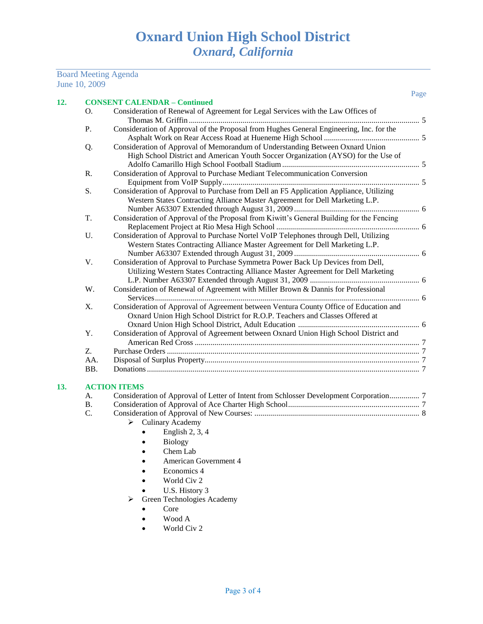#### Board Meeting Agenda June 10, 2009

|     |    |                                                                                                                                                                        | Page |
|-----|----|------------------------------------------------------------------------------------------------------------------------------------------------------------------------|------|
| 12. |    | <b>CONSENT CALENDAR - Continued</b>                                                                                                                                    |      |
|     | O. | Consideration of Renewal of Agreement for Legal Services with the Law Offices of                                                                                       |      |
|     | Ρ. | Consideration of Approval of the Proposal from Hughes General Engineering, Inc. for the                                                                                |      |
|     | Q. | Consideration of Approval of Memorandum of Understanding Between Oxnard Union<br>High School District and American Youth Soccer Organization (AYSO) for the Use of     |      |
|     | R. | Consideration of Approval to Purchase Mediant Telecommunication Conversion                                                                                             |      |
|     | S. | Consideration of Approval to Purchase from Dell an F5 Application Appliance, Utilizing<br>Western States Contracting Alliance Master Agreement for Dell Marketing L.P. |      |

| T.    | Consideration of Approval of the Proposal from Kiwitt's General Building for the Fencing |  |
|-------|------------------------------------------------------------------------------------------|--|
|       |                                                                                          |  |
| $U$ . | Consideration of Approval to Purchase Nortel VoIP Telephones through Dell, Utilizing     |  |
|       | Western States Contracting Alliance Master Agreement for Dell Marketing L.P.             |  |
|       |                                                                                          |  |
| V.    | Consideration of Approval to Purchase Symmetra Power Back Up Devices from Dell,          |  |
|       | Utilizing Western States Contracting Alliance Master Agreement for Dell Marketing        |  |
|       |                                                                                          |  |
| W.    | Consideration of Renewal of Agreement with Miller Brown & Dannis for Professional        |  |
|       |                                                                                          |  |
| X.    | Consideration of Approval of Agreement between Ventura County Office of Education and    |  |
|       | Oxnard Union High School District for R.O.P. Teachers and Classes Offered at             |  |
|       |                                                                                          |  |
| Y.    | Consideration of Approval of Agreement between Oxnard Union High School District and     |  |
|       |                                                                                          |  |
| Z.    |                                                                                          |  |
| AA.   |                                                                                          |  |
| BB.   |                                                                                          |  |
|       |                                                                                          |  |

### **13. ACTION ITEMS**

| А. |  |
|----|--|
| В. |  |
| C. |  |

- $\blacktriangleright$  Culinary Academy
	- $\bullet$  English 2, 3, 4
	- Biology
	- Chem Lab
	- American Government 4
	- Economics 4
	- World Civ 2
	- U.S. History 3
- > Green Technologies Academy
	- Core
	- Wood A
	- World Civ 2